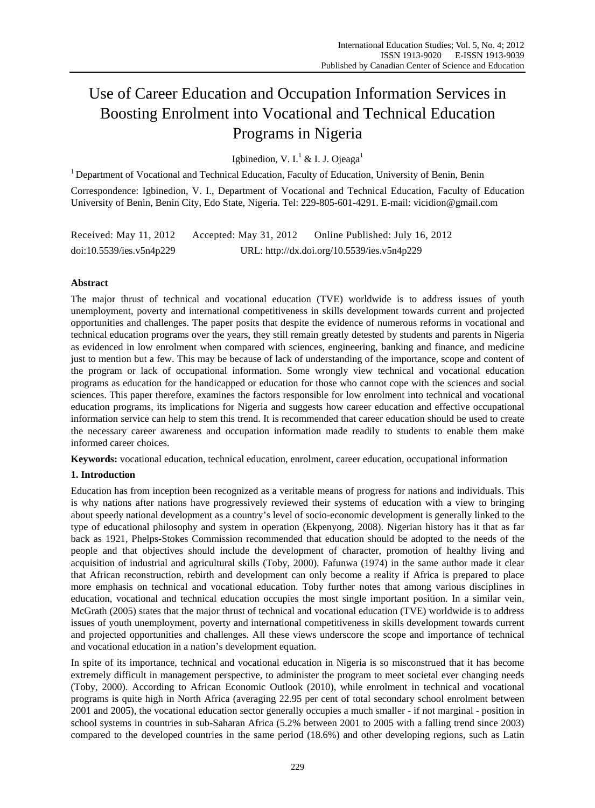# Use of Career Education and Occupation Information Services in Boosting Enrolment into Vocational and Technical Education Programs in Nigeria

Igbinedion, V. I.<sup>1</sup> & I. J. Ojeaga<sup>1</sup>

<sup>1</sup> Department of Vocational and Technical Education, Faculty of Education, University of Benin, Benin Correspondence: Igbinedion, V. I., Department of Vocational and Technical Education, Faculty of Education University of Benin, Benin City, Edo State, Nigeria. Tel: 229-805-601-4291. E-mail: vicidion@gmail.com

Received: May 11, 2012 Accepted: May 31, 2012 Online Published: July 16, 2012 doi:10.5539/ies.v5n4p229 URL: http://dx.doi.org/10.5539/ies.v5n4p229

## **Abstract**

The major thrust of technical and vocational education (TVE) worldwide is to address issues of youth unemployment, poverty and international competitiveness in skills development towards current and projected opportunities and challenges. The paper posits that despite the evidence of numerous reforms in vocational and technical education programs over the years, they still remain greatly detested by students and parents in Nigeria as evidenced in low enrolment when compared with sciences, engineering, banking and finance, and medicine just to mention but a few. This may be because of lack of understanding of the importance, scope and content of the program or lack of occupational information. Some wrongly view technical and vocational education programs as education for the handicapped or education for those who cannot cope with the sciences and social sciences. This paper therefore, examines the factors responsible for low enrolment into technical and vocational education programs, its implications for Nigeria and suggests how career education and effective occupational information service can help to stem this trend. It is recommended that career education should be used to create the necessary career awareness and occupation information made readily to students to enable them make informed career choices.

**Keywords:** vocational education, technical education, enrolment, career education, occupational information

## **1. Introduction**

Education has from inception been recognized as a veritable means of progress for nations and individuals. This is why nations after nations have progressively reviewed their systems of education with a view to bringing about speedy national development as a country's level of socio-economic development is generally linked to the type of educational philosophy and system in operation (Ekpenyong, 2008). Nigerian history has it that as far back as 1921, Phelps-Stokes Commission recommended that education should be adopted to the needs of the people and that objectives should include the development of character, promotion of healthy living and acquisition of industrial and agricultural skills (Toby, 2000). Fafunwa (1974) in the same author made it clear that African reconstruction, rebirth and development can only become a reality if Africa is prepared to place more emphasis on technical and vocational education. Toby further notes that among various disciplines in education, vocational and technical education occupies the most single important position. In a similar vein, McGrath (2005) states that the major thrust of technical and vocational education (TVE) worldwide is to address issues of youth unemployment, poverty and international competitiveness in skills development towards current and projected opportunities and challenges. All these views underscore the scope and importance of technical and vocational education in a nation's development equation.

In spite of its importance, technical and vocational education in Nigeria is so misconstrued that it has become extremely difficult in management perspective, to administer the program to meet societal ever changing needs (Toby, 2000). According to African Economic Outlook (2010), while enrolment in technical and vocational programs is quite high in North Africa (averaging 22.95 per cent of total secondary school enrolment between 2001 and 2005), the vocational education sector generally occupies a much smaller - if not marginal - position in school systems in countries in sub-Saharan Africa (5.2% between 2001 to 2005 with a falling trend since 2003) compared to the developed countries in the same period (18.6%) and other developing regions, such as Latin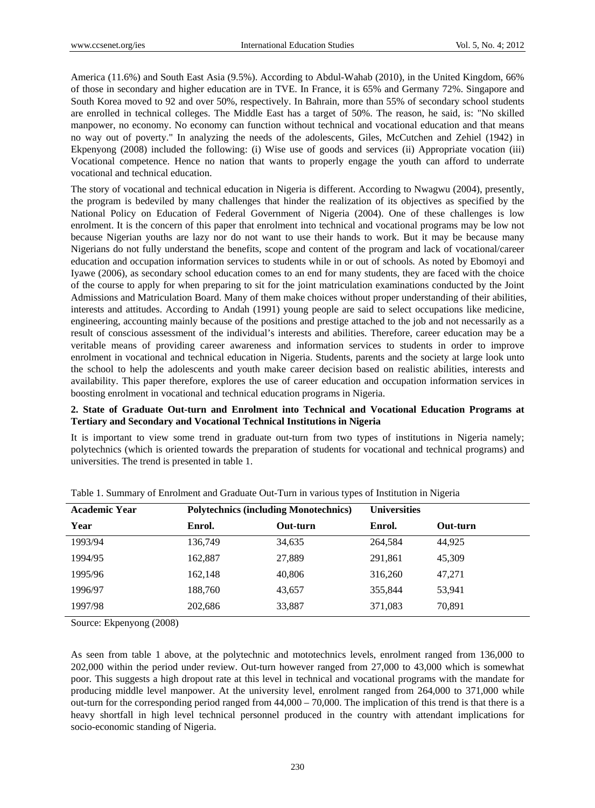America (11.6%) and South East Asia (9.5%). According to Abdul-Wahab (2010), in the United Kingdom, 66% of those in secondary and higher education are in TVE. In France, it is 65% and Germany 72%. Singapore and South Korea moved to 92 and over 50%, respectively. In Bahrain, more than 55% of secondary school students are enrolled in technical colleges. The Middle East has a target of 50%. The reason, he said, is: "No skilled manpower, no economy. No economy can function without technical and vocational education and that means no way out of poverty." In analyzing the needs of the adolescents, Giles, McCutchen and Zehiel (1942) in Ekpenyong (2008) included the following: (i) Wise use of goods and services (ii) Appropriate vocation (iii) Vocational competence. Hence no nation that wants to properly engage the youth can afford to underrate vocational and technical education.

The story of vocational and technical education in Nigeria is different. According to Nwagwu (2004), presently, the program is bedeviled by many challenges that hinder the realization of its objectives as specified by the National Policy on Education of Federal Government of Nigeria (2004). One of these challenges is low enrolment. It is the concern of this paper that enrolment into technical and vocational programs may be low not because Nigerian youths are lazy nor do not want to use their hands to work. But it may be because many Nigerians do not fully understand the benefits, scope and content of the program and lack of vocational/career education and occupation information services to students while in or out of schools*.* As noted by Ebomoyi and Iyawe (2006), as secondary school education comes to an end for many students, they are faced with the choice of the course to apply for when preparing to sit for the joint matriculation examinations conducted by the Joint Admissions and Matriculation Board. Many of them make choices without proper understanding of their abilities, interests and attitudes. According to Andah (1991) young people are said to select occupations like medicine, engineering, accounting mainly because of the positions and prestige attached to the job and not necessarily as a result of conscious assessment of the individual's interests and abilities. Therefore, career education may be a veritable means of providing career awareness and information services to students in order to improve enrolment in vocational and technical education in Nigeria. Students, parents and the society at large look unto the school to help the adolescents and youth make career decision based on realistic abilities, interests and availability. This paper therefore, explores the use of career education and occupation information services in boosting enrolment in vocational and technical education programs in Nigeria.

#### **2. State of Graduate Out-turn and Enrolment into Technical and Vocational Education Programs at Tertiary and Secondary and Vocational Technical Institutions in Nigeria**

It is important to view some trend in graduate out-turn from two types of institutions in Nigeria namely; polytechnics (which is oriented towards the preparation of students for vocational and technical programs) and universities. The trend is presented in table 1.

| <b>Academic Year</b> | $\sim$ 1<br><b>Polytechnics (including Monotechnics)</b> |          | <b>Universities</b> |          |
|----------------------|----------------------------------------------------------|----------|---------------------|----------|
| Year                 | Enrol.                                                   | Out-turn | Enrol.              | Out-turn |
| 1993/94              | 136,749                                                  | 34,635   | 264.584             | 44.925   |
| 1994/95              | 162,887                                                  | 27,889   | 291,861             | 45,309   |
| 1995/96              | 162,148                                                  | 40,806   | 316,260             | 47,271   |
| 1996/97              | 188,760                                                  | 43,657   | 355,844             | 53,941   |
| 1997/98              | 202,686                                                  | 33,887   | 371,083             | 70,891   |

| Table 1. Summary of Enrolment and Graduate Out-Turn in various types of Institution in Nigeria |  |  |  |
|------------------------------------------------------------------------------------------------|--|--|--|
|                                                                                                |  |  |  |

Source: Ekpenyong (2008)

As seen from table 1 above, at the polytechnic and mototechnics levels, enrolment ranged from 136,000 to 202,000 within the period under review. Out-turn however ranged from 27,000 to 43,000 which is somewhat poor. This suggests a high dropout rate at this level in technical and vocational programs with the mandate for producing middle level manpower. At the university level, enrolment ranged from 264,000 to 371,000 while out-turn for the corresponding period ranged from 44,000 – 70,000. The implication of this trend is that there is a heavy shortfall in high level technical personnel produced in the country with attendant implications for socio-economic standing of Nigeria.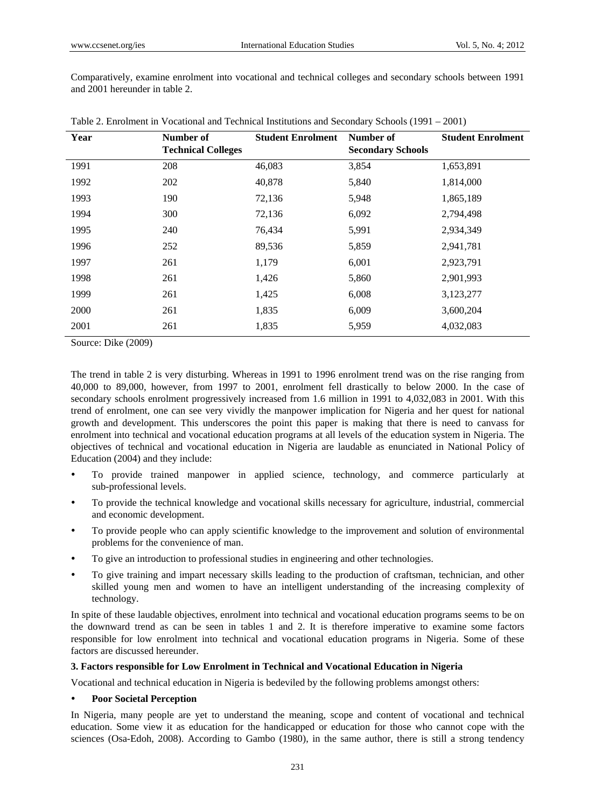Comparatively, examine enrolment into vocational and technical colleges and secondary schools between 1991 and 2001 hereunder in table 2.

| Year | Number of<br><b>Technical Colleges</b> | <b>Student Enrolment</b> | Number of<br><b>Secondary Schools</b> | <b>Student Enrolment</b> |
|------|----------------------------------------|--------------------------|---------------------------------------|--------------------------|
| 1991 | 208                                    | 46,083                   | 3,854                                 | 1,653,891                |
| 1992 | 202                                    | 40,878                   | 5,840                                 | 1,814,000                |
| 1993 | 190                                    | 72,136                   | 5,948                                 | 1,865,189                |
| 1994 | 300                                    | 72,136                   | 6,092                                 | 2,794,498                |
| 1995 | 240                                    | 76,434                   | 5,991                                 | 2,934,349                |
| 1996 | 252                                    | 89,536                   | 5,859                                 | 2,941,781                |
| 1997 | 261                                    | 1,179                    | 6,001                                 | 2,923,791                |
| 1998 | 261                                    | 1,426                    | 5,860                                 | 2,901,993                |
| 1999 | 261                                    | 1,425                    | 6,008                                 | 3,123,277                |
| 2000 | 261                                    | 1,835                    | 6,009                                 | 3,600,204                |
| 2001 | 261                                    | 1,835                    | 5,959                                 | 4,032,083                |

Table 2. Enrolment in Vocational and Technical Institutions and Secondary Schools (1991 – 2001)

Source: Dike (2009)

The trend in table 2 is very disturbing. Whereas in 1991 to 1996 enrolment trend was on the rise ranging from 40,000 to 89,000, however, from 1997 to 2001, enrolment fell drastically to below 2000. In the case of secondary schools enrolment progressively increased from 1.6 million in 1991 to 4,032,083 in 2001. With this trend of enrolment, one can see very vividly the manpower implication for Nigeria and her quest for national growth and development. This underscores the point this paper is making that there is need to canvass for enrolment into technical and vocational education programs at all levels of the education system in Nigeria. The objectives of technical and vocational education in Nigeria are laudable as enunciated in National Policy of Education (2004) and they include:

- To provide trained manpower in applied science, technology, and commerce particularly at sub-professional levels.
- To provide the technical knowledge and vocational skills necessary for agriculture, industrial, commercial and economic development.
- To provide people who can apply scientific knowledge to the improvement and solution of environmental problems for the convenience of man.
- To give an introduction to professional studies in engineering and other technologies.
- To give training and impart necessary skills leading to the production of craftsman, technician, and other skilled young men and women to have an intelligent understanding of the increasing complexity of technology.

In spite of these laudable objectives, enrolment into technical and vocational education programs seems to be on the downward trend as can be seen in tables 1 and 2. It is therefore imperative to examine some factors responsible for low enrolment into technical and vocational education programs in Nigeria. Some of these factors are discussed hereunder.

#### **3. Factors responsible for Low Enrolment in Technical and Vocational Education in Nigeria**

Vocational and technical education in Nigeria is bedeviled by the following problems amongst others:

#### **Poor Societal Perception**

In Nigeria, many people are yet to understand the meaning, scope and content of vocational and technical education. Some view it as education for the handicapped or education for those who cannot cope with the sciences (Osa-Edoh, 2008). According to Gambo (1980), in the same author, there is still a strong tendency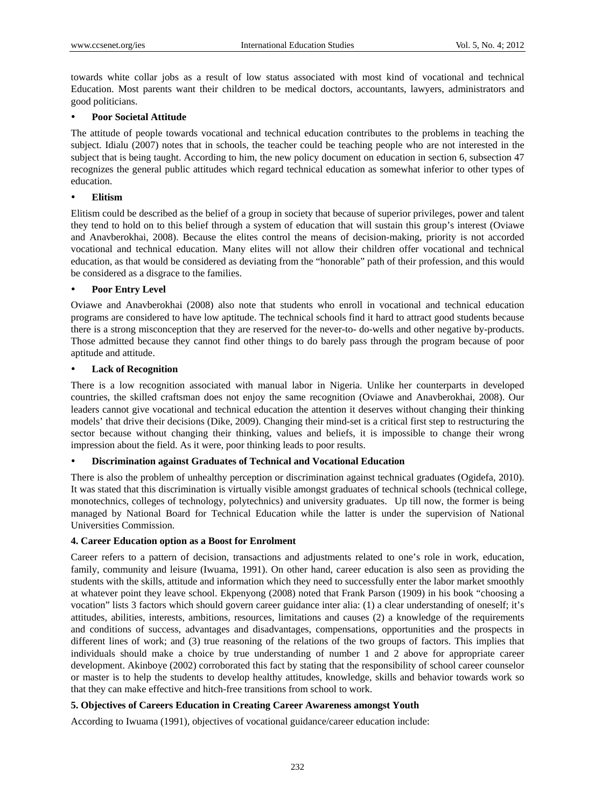towards white collar jobs as a result of low status associated with most kind of vocational and technical Education. Most parents want their children to be medical doctors, accountants, lawyers, administrators and good politicians.

#### **Poor Societal Attitude**

The attitude of people towards vocational and technical education contributes to the problems in teaching the subject. Idialu (2007) notes that in schools, the teacher could be teaching people who are not interested in the subject that is being taught. According to him, the new policy document on education in section 6, subsection 47 recognizes the general public attitudes which regard technical education as somewhat inferior to other types of education.

#### **Elitism**

Elitism could be described as the belief of a group in society that because of superior privileges, power and talent they tend to hold on to this belief through a system of education that will sustain this group's interest (Oviawe and Anavberokhai, 2008). Because the elites control the means of decision-making, priority is not accorded vocational and technical education. Many elites will not allow their children offer vocational and technical education, as that would be considered as deviating from the "honorable" path of their profession, and this would be considered as a disgrace to the families.

#### **Poor Entry Level**

Oviawe and Anavberokhai (2008) also note that students who enroll in vocational and technical education programs are considered to have low aptitude. The technical schools find it hard to attract good students because there is a strong misconception that they are reserved for the never-to- do-wells and other negative by-products. Those admitted because they cannot find other things to do barely pass through the program because of poor aptitude and attitude.

#### **Lack of Recognition**

There is a low recognition associated with manual labor in Nigeria. Unlike her counterparts in developed countries, the skilled craftsman does not enjoy the same recognition (Oviawe and Anavberokhai, 2008). Our leaders cannot give vocational and technical education the attention it deserves without changing their thinking models' that drive their decisions (Dike, 2009). Changing their mind-set is a critical first step to restructuring the sector because without changing their thinking, values and beliefs, it is impossible to change their wrong impression about the field. As it were, poor thinking leads to poor results.

#### **Discrimination against Graduates of Technical and Vocational Education**

There is also the problem of unhealthy perception or discrimination against technical graduates (Ogidefa, 2010). It was stated that this discrimination is virtually visible amongst graduates of technical schools (technical college, monotechnics, colleges of technology, polytechnics) and university graduates. Up till now, the former is being managed by National Board for Technical Education while the latter is under the supervision of National Universities Commission.

#### **4. Career Education option as a Boost for Enrolment**

Career refers to a pattern of decision, transactions and adjustments related to one's role in work, education, family, community and leisure (Iwuama, 1991). On other hand, career education is also seen as providing the students with the skills, attitude and information which they need to successfully enter the labor market smoothly at whatever point they leave school. Ekpenyong (2008) noted that Frank Parson (1909) in his book "choosing a vocation" lists 3 factors which should govern career guidance inter alia: (1) a clear understanding of oneself; it's attitudes, abilities, interests, ambitions, resources, limitations and causes (2) a knowledge of the requirements and conditions of success, advantages and disadvantages, compensations, opportunities and the prospects in different lines of work; and (3) true reasoning of the relations of the two groups of factors. This implies that individuals should make a choice by true understanding of number 1 and 2 above for appropriate career development. Akinboye (2002) corroborated this fact by stating that the responsibility of school career counselor or master is to help the students to develop healthy attitudes, knowledge, skills and behavior towards work so that they can make effective and hitch-free transitions from school to work.

#### **5. Objectives of Careers Education in Creating Career Awareness amongst Youth**

According to Iwuama (1991), objectives of vocational guidance/career education include: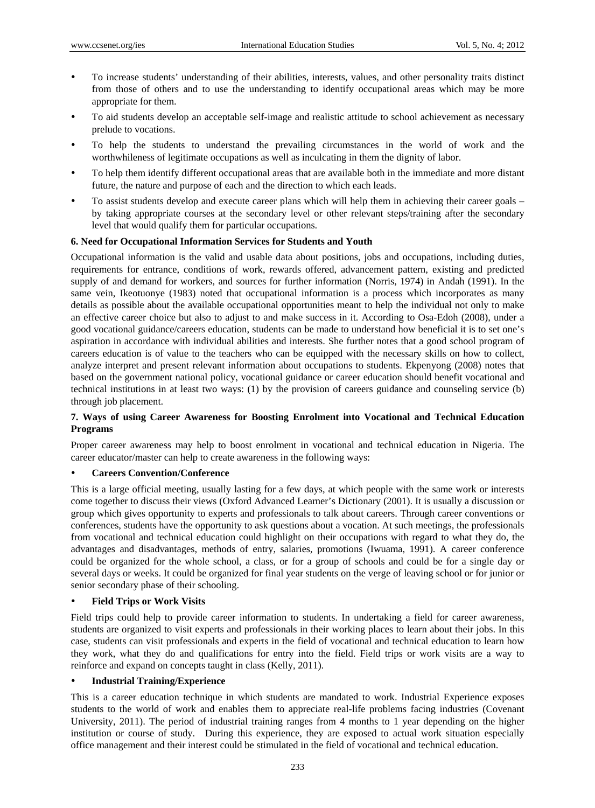- To increase students' understanding of their abilities, interests, values, and other personality traits distinct from those of others and to use the understanding to identify occupational areas which may be more appropriate for them.
- To aid students develop an acceptable self-image and realistic attitude to school achievement as necessary prelude to vocations.
- To help the students to understand the prevailing circumstances in the world of work and the worthwhileness of legitimate occupations as well as inculcating in them the dignity of labor.
- To help them identify different occupational areas that are available both in the immediate and more distant future, the nature and purpose of each and the direction to which each leads.
- To assist students develop and execute career plans which will help them in achieving their career goals by taking appropriate courses at the secondary level or other relevant steps/training after the secondary level that would qualify them for particular occupations.

#### **6. Need for Occupational Information Services for Students and Youth**

Occupational information is the valid and usable data about positions, jobs and occupations, including duties, requirements for entrance, conditions of work, rewards offered, advancement pattern, existing and predicted supply of and demand for workers, and sources for further information (Norris, 1974) in Andah (1991). In the same vein, Ikeotuonye (1983) noted that occupational information is a process which incorporates as many details as possible about the available occupational opportunities meant to help the individual not only to make an effective career choice but also to adjust to and make success in it. According to Osa-Edoh (2008), under a good vocational guidance/careers education, students can be made to understand how beneficial it is to set one's aspiration in accordance with individual abilities and interests. She further notes that a good school program of careers education is of value to the teachers who can be equipped with the necessary skills on how to collect, analyze interpret and present relevant information about occupations to students. Ekpenyong (2008) notes that based on the government national policy, vocational guidance or career education should benefit vocational and technical institutions in at least two ways: (1) by the provision of careers guidance and counseling service (b) through job placement.

### **7. Ways of using Career Awareness for Boosting Enrolment into Vocational and Technical Education Programs**

Proper career awareness may help to boost enrolment in vocational and technical education in Nigeria. The career educator/master can help to create awareness in the following ways:

#### **Careers Convention/Conference**

This is a large official meeting, usually lasting for a few days, at which people with the same work or interests come together to discuss their views (Oxford Advanced Learner's Dictionary (2001). It is usually a discussion or group which gives opportunity to experts and professionals to talk about careers. Through career conventions or conferences, students have the opportunity to ask questions about a vocation. At such meetings, the professionals from vocational and technical education could highlight on their occupations with regard to what they do, the advantages and disadvantages, methods of entry, salaries, promotions (Iwuama, 1991). A career conference could be organized for the whole school, a class, or for a group of schools and could be for a single day or several days or weeks. It could be organized for final year students on the verge of leaving school or for junior or senior secondary phase of their schooling.

#### **Field Trips or Work Visits**

Field trips could help to provide career information to students. In undertaking a field for career awareness, students are organized to visit experts and professionals in their working places to learn about their jobs. In this case, students can visit professionals and experts in the field of vocational and technical education to learn how they work, what they do and qualifications for entry into the field. Field trips or work visits are a way to reinforce and expand on concepts taught in class (Kelly, 2011).

#### **Industrial Training/Experience**

This is a career education technique in which students are mandated to work. Industrial Experience exposes students to the world of work and enables them to appreciate real-life problems facing industries (Covenant University, 2011). The period of industrial training ranges from 4 months to 1 year depending on the higher institution or course of study. During this experience, they are exposed to actual work situation especially office management and their interest could be stimulated in the field of vocational and technical education.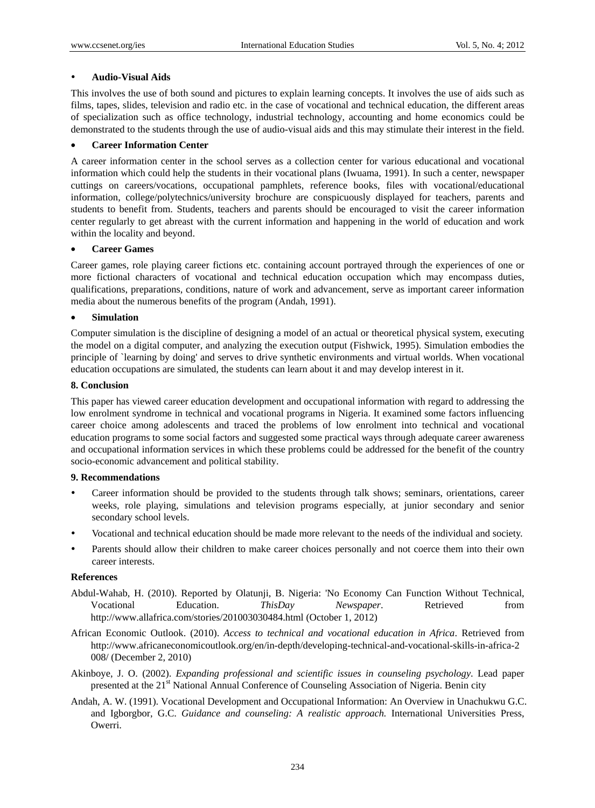#### **Audio-Visual Aids**

This involves the use of both sound and pictures to explain learning concepts. It involves the use of aids such as films, tapes, slides, television and radio etc. in the case of vocational and technical education, the different areas of specialization such as office technology, industrial technology, accounting and home economics could be demonstrated to the students through the use of audio-visual aids and this may stimulate their interest in the field.

#### **Career Information Center**

A career information center in the school serves as a collection center for various educational and vocational information which could help the students in their vocational plans (Iwuama, 1991). In such a center, newspaper cuttings on careers/vocations, occupational pamphlets, reference books, files with vocational/educational information, college/polytechnics/university brochure are conspicuously displayed for teachers, parents and students to benefit from. Students, teachers and parents should be encouraged to visit the career information center regularly to get abreast with the current information and happening in the world of education and work within the locality and beyond.

## **Career Games**

Career games, role playing career fictions etc. containing account portrayed through the experiences of one or more fictional characters of vocational and technical education occupation which may encompass duties, qualifications, preparations, conditions, nature of work and advancement, serve as important career information media about the numerous benefits of the program (Andah, 1991).

### **Simulation**

Computer simulation is the discipline of designing a model of an actual or theoretical physical system, executing the model on a digital computer, and analyzing the execution output (Fishwick, 1995). Simulation embodies the principle of `learning by doing' and serves to drive synthetic environments and virtual worlds. When vocational education occupations are simulated, the students can learn about it and may develop interest in it.

#### **8. Conclusion**

This paper has viewed career education development and occupational information with regard to addressing the low enrolment syndrome in technical and vocational programs in Nigeria. It examined some factors influencing career choice among adolescents and traced the problems of low enrolment into technical and vocational education programs to some social factors and suggested some practical ways through adequate career awareness and occupational information services in which these problems could be addressed for the benefit of the country socio-economic advancement and political stability.

#### **9. Recommendations**

- Career information should be provided to the students through talk shows; seminars, orientations, career weeks, role playing, simulations and television programs especially, at junior secondary and senior secondary school levels.
- Vocational and technical education should be made more relevant to the needs of the individual and society.
- Parents should allow their children to make career choices personally and not coerce them into their own career interests.

#### **References**

- Abdul-Wahab, H. (2010). Reported by Olatunji, B. Nigeria: 'No Economy Can Function Without Technical, Vocational Education. *ThisDay Newspaper*. Retrieved from http://www.allafrica.com/stories/201003030484.html (October 1, 2012)
- African Economic Outlook. (2010). *Access to technical and vocational education in Africa*. Retrieved from http://www.africaneconomicoutlook.org/en/in-depth/developing-technical-and-vocational-skills-in-africa-2 008/ (December 2, 2010)
- Akinboye, J. O. (2002). *Expanding professional and scientific issues in counseling psychology*. Lead paper presented at the 21<sup>st</sup> National Annual Conference of Counseling Association of Nigeria. Benin city
- Andah, A. W. (1991). Vocational Development and Occupational Information: An Overview in Unachukwu G.C. and Igborgbor, G.C. *Guidance and counseling: A realistic approach.* International Universities Press, Owerri.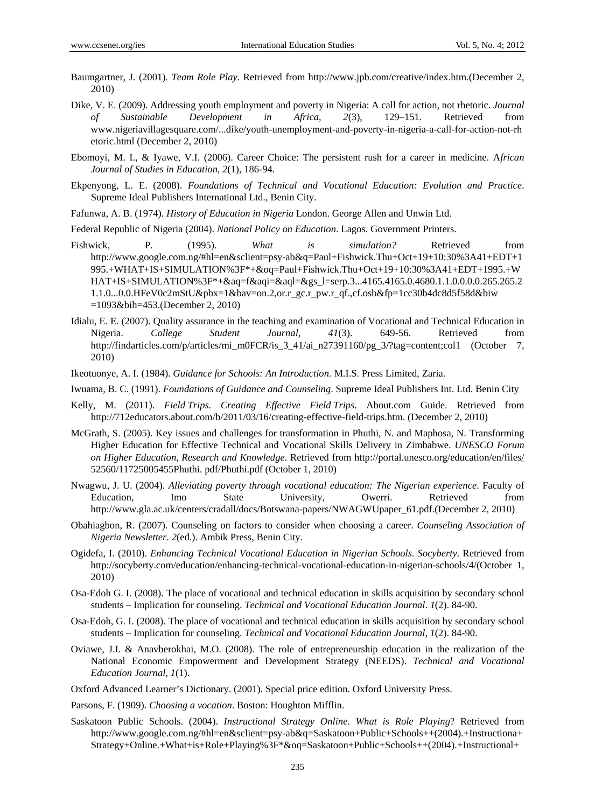- Baumgartner, J. (2001)*. Team Role Play*. Retrieved from http://www.jpb.com/creative/index.htm.(December 2, 2010)
- Dike, V. E. (2009). Addressing youth employment and poverty in Nigeria: A call for action, not rhetoric. *Journal of Sustainable Development in Africa*, *2*(3), 129–151*.* Retrieved from www.nigeriavillagesquare.com/...dike/youth-unemployment-and-poverty-in-nigeria-a-call-for-action-not-rh etoric.html (December 2, 2010)
- Ebomoyi, M. I., & Iyawe, V.I. (2006). Career Choice: The persistent rush for a career in medicine. A*frican Journal of Studies in Education*, *2*(1), 186-94.
- Ekpenyong, L. E. (2008). *Foundations of Technical and Vocational Education: Evolution and Practice*. Supreme Ideal Publishers International Ltd., Benin City.
- Fafunwa, A. B. (1974). *History of Education in Nigeria* London. George Allen and Unwin Ltd.

Federal Republic of Nigeria (2004). *National Policy on Education*. Lagos. Government Printers.

- Fishwick, P. (1995). *What is simulation?* Retrieved from http://www.google.com.ng/#hl=en&sclient=psy-ab&q=Paul+Fishwick.Thu+Oct+19+10:30%3A41+EDT+1 995.+WHAT+IS+SIMULATION%3F\*+&oq=Paul+Fishwick.Thu+Oct+19+10:30%3A41+EDT+1995.+W HAT+IS+SIMULATION%3F\*+&aq=f&aqi=&aql=&gs\_l=serp.3...4165.4165.0.4680.1.1.0.0.0.0.265.265.2 1.1.0...0.0.HFeV0c2mStU&pbx=1&bav=on.2,or.r\_gc.r\_pw.r\_qf.,cf.osb&fp=1cc30b4dc8d5f58d&biw =1093&bih=453.(December 2, 2010)
- Idialu, E. E. (2007). Quality assurance in the teaching and examination of Vocational and Technical Education in Nigeria. *College Student Journal*, *41*(3). 649-56. Retrieved from http://findarticles.com/p/articles/mi\_m0FCR/is\_3\_41/ai\_n27391160/pg\_3/?tag=content;col1 (October 7, 2010)
- Ikeotuonye, A. I. (1984). *Guidance for Schools: An Introduction.* M.I.S. Press Limited, Zaria.
- Iwuama, B. C. (1991). *Foundations of Guidance and Counseling*. Supreme Ideal Publishers Int. Ltd. Benin City
- Kelly, M. (2011). *Field Trips. Creating Effective Field Trips*. About.com Guide. Retrieved from http://712educators.about.com/b/2011/03/16/creating-effective-field-trips.htm. (December 2, 2010)
- McGrath, S. (2005). Key issues and challenges for transformation in Phuthi, N. and Maphosa, N. Transforming Higher Education for Effective Technical and Vocational Skills Delivery in Zimbabwe. *UNESCO Forum on Higher Education, Research and Knowledge*. Retrieved from http://portal.unesco.org/education/en/files/ 52560/11725005455Phuthi. pdf/Phuthi.pdf (October 1, 2010)
- Nwagwu, J. U. (2004). *Alleviating poverty through vocational education: The Nigerian experience*. Faculty of Education, Imo State University, Owerri. Retrieved from http://www.gla.ac.uk/centers/cradall/docs/Botswana-papers/NWAGWUpaper\_61.pdf.(December 2, 2010)
- Obahiagbon, R. (2007). Counseling on factors to consider when choosing a career. *Counseling Association of Nigeria Newsletter*. *2*(ed.). Ambik Press, Benin City.
- Ogidefa, I. (2010). *Enhancing Technical Vocational Education in Nigerian Schools*. *Socyberty*. Retrieved from http://socyberty.com/education/enhancing-technical-vocational-education-in-nigerian-schools/4/(October 1, 2010)
- Osa-Edoh G. I. (2008). The place of vocational and technical education in skills acquisition by secondary school students – Implication for counseling. *Technical and Vocational Education Journal*. *1*(2). 84-90.
- Osa-Edoh, G. I. (2008). The place of vocational and technical education in skills acquisition by secondary school students – Implication for counseling. *Technical and Vocational Education Journal*, *1*(2). 84-90.
- Oviawe, J.I. & Anavberokhai, M.O. (2008). The role of entrepreneurship education in the realization of the National Economic Empowerment and Development Strategy (NEEDS). *Technical and Vocational Education Journal*, *1*(1).
- Oxford Advanced Learner's Dictionary. (2001). Special price edition. Oxford University Press.
- Parsons, F. (1909). *Choosing a vocation*. Boston: Houghton Mifflin.
- Saskatoon Public Schools. (2004). *Instructional Strategy Online*. *What is Role Playing*? Retrieved from http://www.google.com.ng/#hl=en&sclient=psy-ab&q=Saskatoon+Public+Schools++(2004).+Instructiona+ Strategy+Online.+What+is+Role+Playing%3F\*&oq=Saskatoon+Public+Schools++(2004).+Instructional+